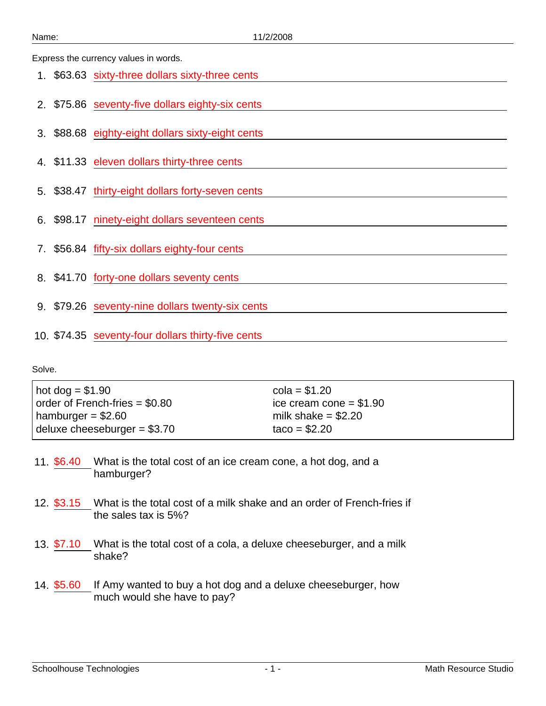Express the currency values in words.

|  | 1. \$63.63 sixty-three dollars sixty-three cents   |
|--|----------------------------------------------------|
|  | 2. \$75.86 seventy-five dollars eighty-six cents   |
|  | 3. \$88.68 eighty-eight dollars sixty-eight cents  |
|  | 4. \$11.33 eleven dollars thirty-three cents       |
|  | 5. \$38.47 thirty-eight dollars forty-seven cents  |
|  | 6. \$98.17 ninety-eight dollars seventeen cents    |
|  | 7. \$56.84 fifty-six dollars eighty-four cents     |
|  | 8. \$41.70 forty-one dollars seventy cents         |
|  | 9. \$79.26 seventy-nine dollars twenty-six cents   |
|  | 10. \$74.35 seventy-four dollars thirty-five cents |

| $hot dog = $1.90$                      | $cola = $1.20$           |
|----------------------------------------|--------------------------|
| $\vert$ order of French-fries = \$0.80 | ice cream cone $= $1.90$ |
| hamburger = $$2.60$                    | milk shake = $$2.20$     |
| deluxe cheeseburger = $$3.70$          | $taco = $2.20$           |
|                                        |                          |

- 11. \$6.40 What is the total cost of an ice cream cone, a hot dog, and a hamburger?
- 12. \$3.15 What is the total cost of a milk shake and an order of French-fries if the sales tax is 5%?
- 13.  $$7.10$  What is the total cost of a cola, a deluxe cheeseburger, and a milk shake?
- 14. \$5.60 If Amy wanted to buy a hot dog and a deluxe cheeseburger, how much would she have to pay?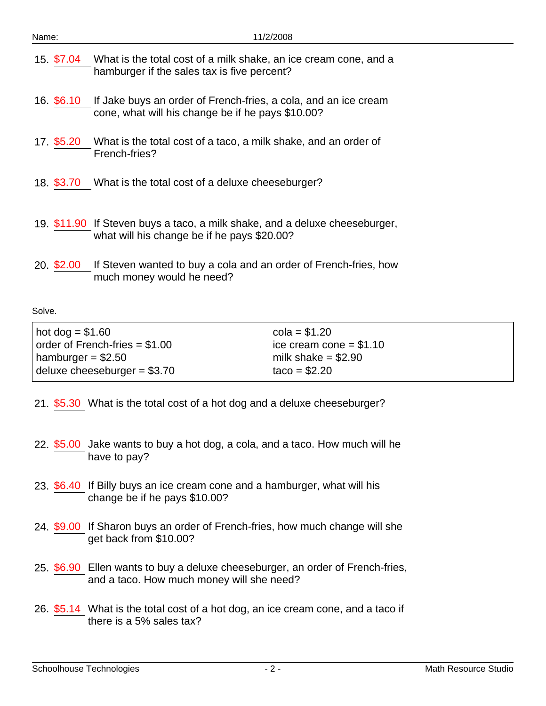| Name:      | 11/2/2008                                                                                                                  |
|------------|----------------------------------------------------------------------------------------------------------------------------|
|            | 15. \$7.04 What is the total cost of a milk shake, an ice cream cone, and a<br>hamburger if the sales tax is five percent? |
| 16. \$6.10 | If Jake buys an order of French-fries, a cola, and an ice cream<br>cone, what will his change be if he pays \$10.00?       |
| 17. \$5.20 | What is the total cost of a taco, a milk shake, and an order of<br>French-fries?                                           |
| 18. \$3.70 | What is the total cost of a deluxe cheeseburger?                                                                           |
|            | 19. \$11.90 If Steven buys a taco, a milk shake, and a deluxe cheeseburger,<br>what will his change be if he pays \$20.00? |
| 20. \$2.00 | If Steven wanted to buy a cola and an order of French-fries, how<br>much money would he need?                              |
| Solve.     |                                                                                                                            |

| $hot dog = $1.60$                      | $cola = $1.20$           |
|----------------------------------------|--------------------------|
| $\vert$ order of French-fries = \$1.00 | ice cream cone $= $1.10$ |
| hamburger = $$2.50$                    | milk shake $= $2.90$     |
| deluxe cheeseburger = $$3.70$          | $taco = $2.20$           |

- 21. \$5.30 What is the total cost of a hot dog and a deluxe cheeseburger?
- 22. \$5.00 Jake wants to buy a hot dog, a cola, and a taco. How much will he have to pay?
- 23. \$6.40 If Billy buys an ice cream cone and a hamburger, what will his change be if he pays \$10.00?
- 24. \$9.00 If Sharon buys an order of French-fries, how much change will she get back from \$10.00?
- 25. \$6.90 Ellen wants to buy a deluxe cheeseburger, an order of French-fries, and a taco. How much money will she need?
- 26. \$5.14 What is the total cost of a hot dog, an ice cream cone, and a taco if there is a 5% sales tax?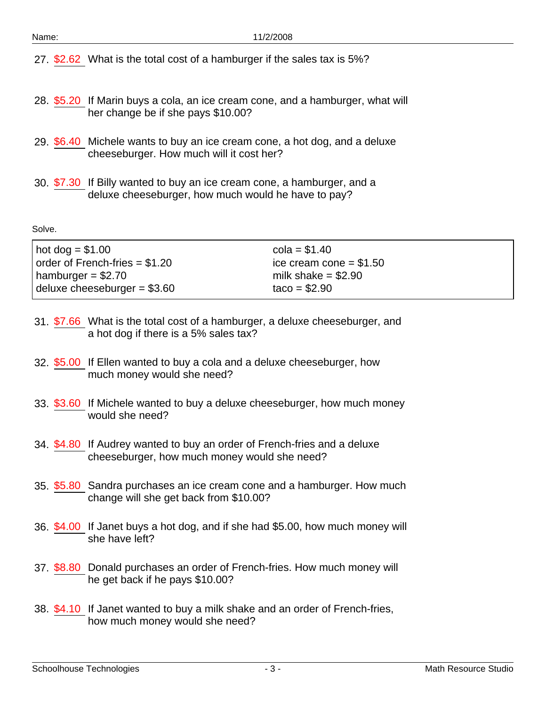27. \$2.62 What is the total cost of a hamburger if the sales tax is 5%?

- 28. \$5.20 If Marin buys a cola, an ice cream cone, and a hamburger, what will her change be if she pays \$10.00?
- 29. \$6.40 Michele wants to buy an ice cream cone, a hot dog, and a deluxe cheeseburger. How much will it cost her?
- 30. \$7.30 If Billy wanted to buy an ice cream cone, a hamburger, and a deluxe cheeseburger, how much would he have to pay?

| hot dog = $$1.00$                      | $cola = $1.40$           |
|----------------------------------------|--------------------------|
| $\vert$ order of French-fries = \$1.20 | ice cream cone = $$1.50$ |
| hamburger = $$2.70$                    | milk shake $= $2.90$     |
| deluxe cheeseburger = $$3.60$          | $taco = $2.90$           |

- 31. \$7.66 What is the total cost of a hamburger, a deluxe cheeseburger, and a hot dog if there is a 5% sales tax?
- 32. \$5.00 If Ellen wanted to buy a cola and a deluxe cheeseburger, how much money would she need?
- 33. \$3.60 If Michele wanted to buy a deluxe cheeseburger, how much money would she need?
- 34. \$4.80 If Audrey wanted to buy an order of French-fries and a deluxe cheeseburger, how much money would she need?
- 35. \$5.80 Sandra purchases an ice cream cone and a hamburger. How much change will she get back from \$10.00?
- 36. \$4.00 If Janet buys a hot dog, and if she had \$5.00, how much money will she have left?
- 37. \$8.80 Donald purchases an order of French-fries. How much money will he get back if he pays \$10.00?
- 38. \$4.10 If Janet wanted to buy a milk shake and an order of French-fries, how much money would she need?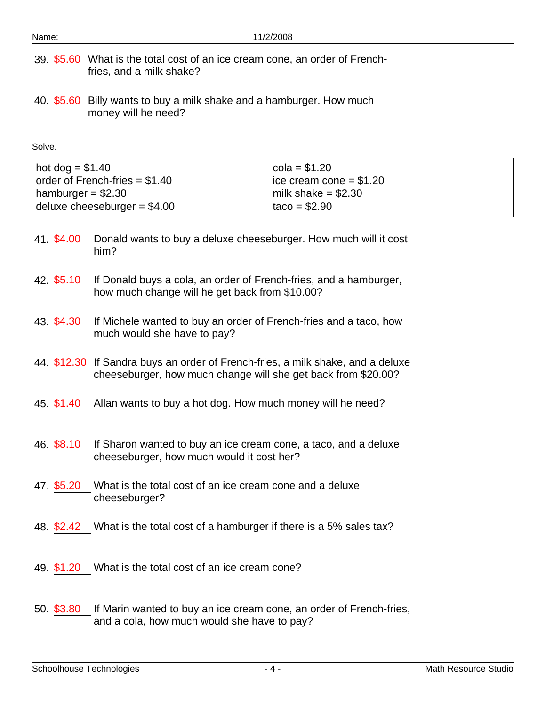- 39. \$5.60 What is the total cost of an ice cream cone, an order of Frenchfries, and a milk shake?
- 40. \$5.60 Billy wants to buy a milk shake and a hamburger. How much money will he need?

| $hot$ dog = \$1.40              | $cola = $1.20$           |
|---------------------------------|--------------------------|
| order of French-fries $= $1.40$ | ice cream cone $= $1.20$ |
| hamburger = \$2.30              | milk shake $= $2.30$     |
| deluxe cheeseburger = $$4.00$   | $taco = $2.90$           |

- 41. \$4.00 Donald wants to buy a deluxe cheeseburger. How much will it cost him?
- 42. \$5.10 If Donald buys a cola, an order of French-fries, and a hamburger, how much change will he get back from \$10.00?
- 43. \$4.30 If Michele wanted to buy an order of French-fries and a taco, how much would she have to pay?
- 44. \$12.30 If Sandra buys an order of French-fries, a milk shake, and a deluxe cheeseburger, how much change will she get back from \$20.00?
- 45. \$1.40 Allan wants to buy a hot dog. How much money will he need?
- 46. \$8.10 If Sharon wanted to buy an ice cream cone, a taco, and a deluxe cheeseburger, how much would it cost her?
- 47. \$5.20 What is the total cost of an ice cream cone and a deluxe cheeseburger?
- 48. \$2.42 What is the total cost of a hamburger if there is a 5% sales tax?
- 49. \$1.20 What is the total cost of an ice cream cone?
- 50. \$3.80 If Marin wanted to buy an ice cream cone, an order of French-fries, and a cola, how much would she have to pay?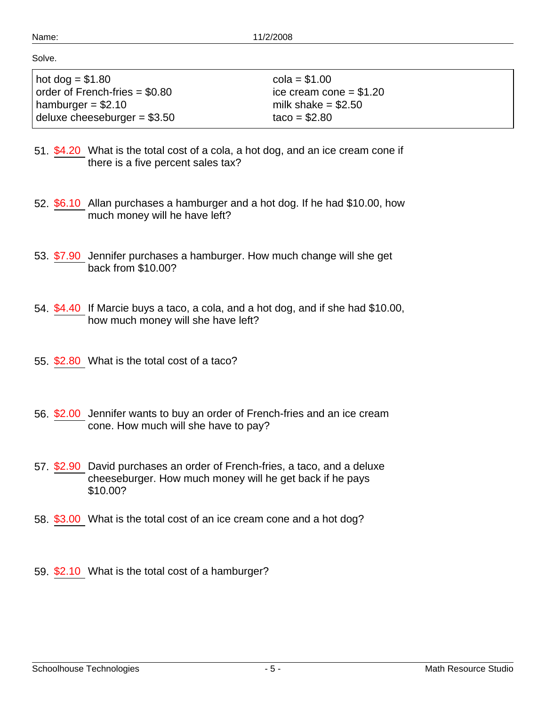| hot dog = $$1.80$               | $cola = $1.00$           |
|---------------------------------|--------------------------|
| order of French-fries $= $0.80$ | ice cream cone = $$1.20$ |
| hamburger = $$2.10$             | milk shake $= $2.50$     |
| deluxe cheeseburger = $$3.50$   | $taco = $2.80$           |

- 51. \$4.20 What is the total cost of a cola, a hot dog, and an ice cream cone if there is a five percent sales tax?
- 52. \$6.10 Allan purchases a hamburger and a hot dog. If he had \$10.00, how much money will he have left?
- 53. \$7.90 Jennifer purchases a hamburger. How much change will she get back from \$10.00?
- 54. \$4.40 If Marcie buys a taco, a cola, and a hot dog, and if she had \$10.00, how much money will she have left?
- 55. \$2.80 What is the total cost of a taco?
- 56. \$2.00 Jennifer wants to buy an order of French-fries and an ice cream cone. How much will she have to pay?
- 57. \$2.90 David purchases an order of French-fries, a taco, and a deluxe cheeseburger. How much money will he get back if he pays \$10.00?
- 58. \$3.00 What is the total cost of an ice cream cone and a hot dog?
- 59. \$2.10 What is the total cost of a hamburger?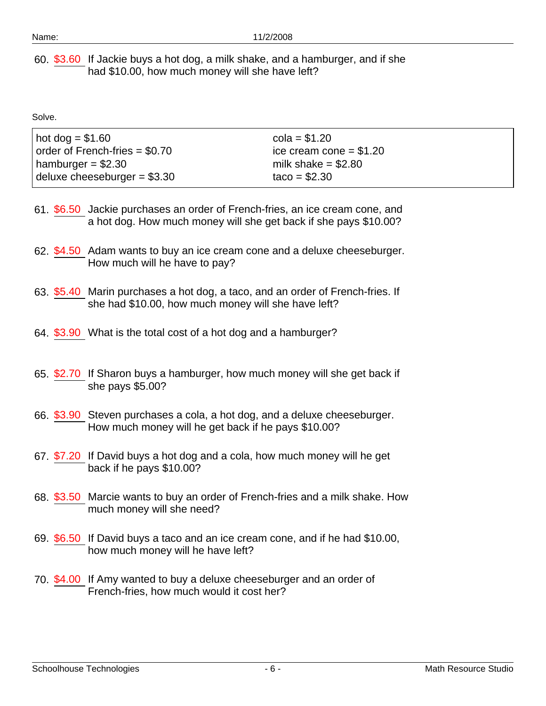60. \$3.60 If Jackie buys a hot dog, a milk shake, and a hamburger, and if she had \$10.00, how much money will she have left?

| $hot dog = $1.60$                      | $cola = $1.20$           |
|----------------------------------------|--------------------------|
| $\vert$ order of French-fries = \$0.70 | ice cream cone $= $1.20$ |
| hamburger = $$2.30$                    | milk shake $= $2.80$     |
| deluxe cheeseburger = $$3.30$          | $taco = $2.30$           |

- 61. \$6.50 Jackie purchases an order of French-fries, an ice cream cone, and a hot dog. How much money will she get back if she pays \$10.00?
- 62. \$4.50 Adam wants to buy an ice cream cone and a deluxe cheeseburger. How much will he have to pay?
- 63. \$5.40 Marin purchases a hot dog, a taco, and an order of French-fries. If she had \$10.00, how much money will she have left?
- 64. \$3.90 What is the total cost of a hot dog and a hamburger?
- 65. \$2.70 If Sharon buys a hamburger, how much money will she get back if she pays \$5.00?
- 66. \$3.90 Steven purchases a cola, a hot dog, and a deluxe cheeseburger. How much money will he get back if he pays \$10.00?
- 67. \$7.20 If David buys a hot dog and a cola, how much money will he get back if he pays \$10.00?
- 68. \$3.50 Marcie wants to buy an order of French-fries and a milk shake. How much money will she need?
- 69. \$6.50 If David buys a taco and an ice cream cone, and if he had \$10.00, how much money will he have left?
- 70. \$4.00 If Amy wanted to buy a deluxe cheeseburger and an order of French-fries, how much would it cost her?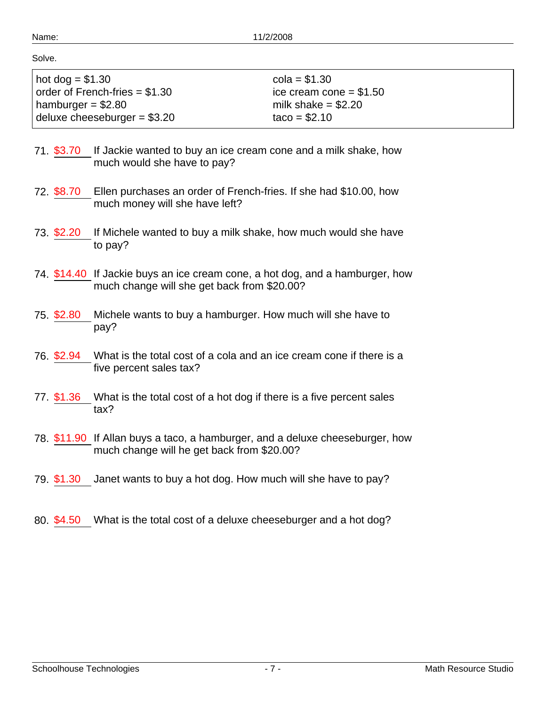| hot dog $= $1.30$               | $cola = $1.30$           |
|---------------------------------|--------------------------|
| order of French-fries $= $1.30$ | ice cream cone = $$1.50$ |
| hamburger = $$2.80$             | milk shake $= $2.20$     |
| deluxe cheeseburger = $$3.20$   | $taco = $2.10$           |

- 71. \$3.70 If Jackie wanted to buy an ice cream cone and a milk shake, how much would she have to pay?
- 72. \$8.70 Ellen purchases an order of French-fries. If she had \$10.00, how much money will she have left?
- 73. \$2.20 If Michele wanted to buy a milk shake, how much would she have to pay?
- 74. \$14.40 If Jackie buys an ice cream cone, a hot dog, and a hamburger, how much change will she get back from \$20.00?
- 75. \$2.80 Michele wants to buy a hamburger. How much will she have to pay?
- 76. \$2.94 What is the total cost of a cola and an ice cream cone if there is a five percent sales tax?
- 77. \$1.36 What is the total cost of a hot dog if there is a five percent sales tax?
- 78. \$11.90 If Allan buys a taco, a hamburger, and a deluxe cheeseburger, how much change will he get back from \$20.00?
- 79. \$1.30 Janet wants to buy a hot dog. How much will she have to pay?
- 80. \$4.50 What is the total cost of a deluxe cheeseburger and a hot dog?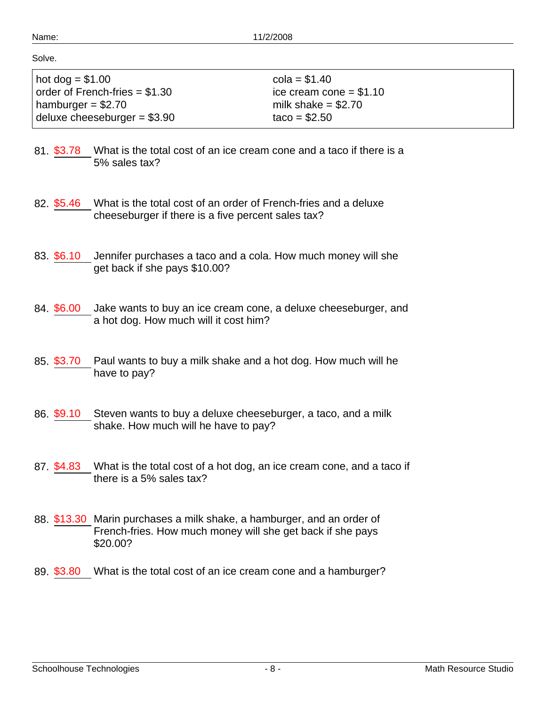| $hot$ dog = $$1.00$             | $cola = $1.40$           |
|---------------------------------|--------------------------|
| order of French-fries $= $1.30$ | ice cream cone $= $1.10$ |
| hamburger = \$2.70              | milk shake $= $2.70$     |
| deluxe cheeseburger = $$3.90$   | $taco = $2.50$           |

- 81. \$3.78 What is the total cost of an ice cream cone and a taco if there is a 5% sales tax?
- 82. \$5.46 What is the total cost of an order of French-fries and a deluxe cheeseburger if there is a five percent sales tax?
- 83. \$6.10 Jennifer purchases a taco and a cola. How much money will she get back if she pays \$10.00?
- 84. \$6.00 Jake wants to buy an ice cream cone, a deluxe cheeseburger, and a hot dog. How much will it cost him?
- 85. \$3.70 Paul wants to buy a milk shake and a hot dog. How much will he have to pay?
- 86. \$9.10 Steven wants to buy a deluxe cheeseburger, a taco, and a milk shake. How much will he have to pay?
- 87. \$4.83 What is the total cost of a hot dog, an ice cream cone, and a taco if there is a 5% sales tax?
- 88. \$13.30 Marin purchases a milk shake, a hamburger, and an order of French-fries. How much money will she get back if she pays \$20.00?
- 89. \$3.80 What is the total cost of an ice cream cone and a hamburger?